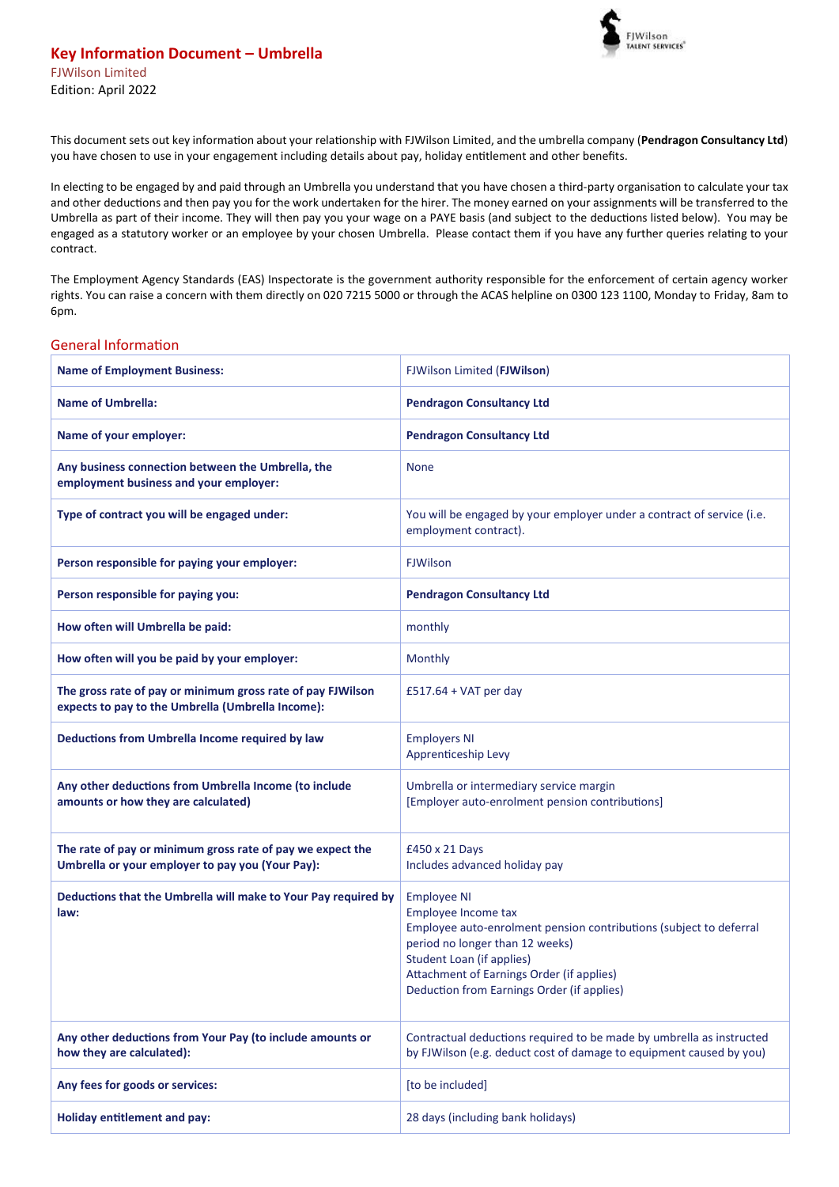

This document sets out key information about your relationship with FJWilson Limited, and the umbrella company (**Pendragon Consultancy Ltd**) you have chosen to use in your engagement including details about pay, holiday entitlement and other benefits.

In electing to be engaged by and paid through an Umbrella you understand that you have chosen a third-party organisation to calculate your tax and other deductions and then pay you for the work undertaken for the hirer. The money earned on your assignments will be transferred to the Umbrella as part of their income. They will then pay you your wage on a PAYE basis (and subject to the deductions listed below). You may be engaged as a statutory worker or an employee by your chosen Umbrella. Please contact them if you have any further queries relating to your contract.

The Employment Agency Standards (EAS) Inspectorate is the government authority responsible for the enforcement of certain agency worker rights. You can raise a concern with them directly on 020 7215 5000 or through the ACAS helpline on 0300 123 1100, Monday to Friday, 8am to 6pm.

## General Information

| <b>Name of Employment Business:</b>                                                                              | FJWilson Limited (FJWilson)                                                                                                                                                                                                                                                       |  |
|------------------------------------------------------------------------------------------------------------------|-----------------------------------------------------------------------------------------------------------------------------------------------------------------------------------------------------------------------------------------------------------------------------------|--|
| <b>Name of Umbrella:</b>                                                                                         | <b>Pendragon Consultancy Ltd</b>                                                                                                                                                                                                                                                  |  |
| Name of your employer:                                                                                           | <b>Pendragon Consultancy Ltd</b>                                                                                                                                                                                                                                                  |  |
| Any business connection between the Umbrella, the<br>employment business and your employer:                      | <b>None</b>                                                                                                                                                                                                                                                                       |  |
| Type of contract you will be engaged under:                                                                      | You will be engaged by your employer under a contract of service (i.e.<br>employment contract).                                                                                                                                                                                   |  |
| Person responsible for paying your employer:                                                                     | <b>FJWilson</b>                                                                                                                                                                                                                                                                   |  |
| Person responsible for paying you:                                                                               | <b>Pendragon Consultancy Ltd</b>                                                                                                                                                                                                                                                  |  |
| How often will Umbrella be paid:                                                                                 | monthly                                                                                                                                                                                                                                                                           |  |
| How often will you be paid by your employer:                                                                     | Monthly                                                                                                                                                                                                                                                                           |  |
| The gross rate of pay or minimum gross rate of pay FJWilson<br>expects to pay to the Umbrella (Umbrella Income): | £517.64 + VAT per day                                                                                                                                                                                                                                                             |  |
| Deductions from Umbrella Income required by law                                                                  | <b>Employers NI</b><br>Apprenticeship Levy                                                                                                                                                                                                                                        |  |
| Any other deductions from Umbrella Income (to include<br>amounts or how they are calculated)                     | Umbrella or intermediary service margin<br>[Employer auto-enrolment pension contributions]                                                                                                                                                                                        |  |
| The rate of pay or minimum gross rate of pay we expect the<br>Umbrella or your employer to pay you (Your Pay):   | £450 x 21 Days<br>Includes advanced holiday pay                                                                                                                                                                                                                                   |  |
| Deductions that the Umbrella will make to Your Pay required by<br>law:                                           | <b>Employee NI</b><br>Employee Income tax<br>Employee auto-enrolment pension contributions (subject to deferral<br>period no longer than 12 weeks)<br><b>Student Loan (if applies)</b><br>Attachment of Earnings Order (if applies)<br>Deduction from Earnings Order (if applies) |  |
| Any other deductions from Your Pay (to include amounts or<br>how they are calculated):                           | Contractual deductions required to be made by umbrella as instructed<br>by FJWilson (e.g. deduct cost of damage to equipment caused by you)                                                                                                                                       |  |
| Any fees for goods or services:                                                                                  | [to be included]                                                                                                                                                                                                                                                                  |  |
| <b>Holiday entitlement and pay:</b>                                                                              | 28 days (including bank holidays)                                                                                                                                                                                                                                                 |  |